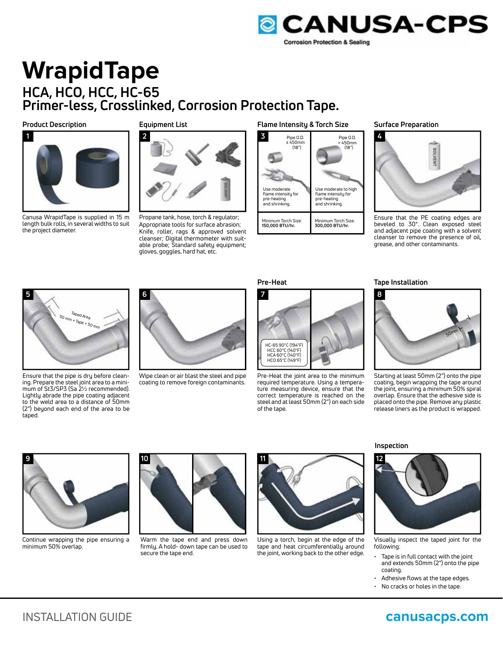

# **WrapidTape HCA, HCO, HCC, HC-65 Primer-less, Crosslinked, Corrosion Protection Tape.**

**Product Description**



Canusa WrapidTape is supplied in 15 m length bulk rolls, in several widths to suit the project diameter.

**Equipment List**



Propane tank, hose, torch & regulator; Appropriate tools for surface abrasion; Knife, roller, rags & approved solvent cleanser; Digital thermometer with suitable probe; Standard safety equipment; gloves, goggles, hard hat, etc.

#### **Flame Intensity & Torch Size**



**Surface Preparation**



Ensure that the PE coating edges are beveled to 30°. Clean exposed steel and adjacent pipe coating with a solvent cleanser to remove the presence of oil, grease, and other contaminants.



Ensure that the pipe is dry before cleaning. Prepare the steel joint area to a minimum of St3/SP3 (Sa 2½ recommended). Lightly abrade the pipe coating adjacent to the weld area to a distance of 50mm (2") beyond each end of the area to be taped.



Wipe clean or air blast the steel and pipe coating to remove foreign contaminants.



Pre-Heat the joint area to the minimum required temperature. Using a temperature measuring device, ensure that the correct temperature is reached on the steel and at least 50mm (2") on each side of the tape.

### **Pre-Heat Tape Installation**



Starting at least 50mm (2") onto the pipe coating, begin wrapping the tape around the joint, ensuring a minimum 50% spiral overlap. Ensure that the adhesive side is placed onto the pipe. Remove any plastic release liners as the product is wrapped.



Continue wrapping the pipe ensuring a minimum 50% overlap.



Warm the tape end and press down firmly. A hold- down tape can be used to secure the tape end.



Using a torch, begin at the edge of the tape and heat circumferentially around the joint, working back to the other edge.

**Inspection**



Visually inspect the taped joint for the following:

- Tape is in full contact with the joint and extends 50mm (2") onto the pipe coating.
- Adhesive flows at the tape edges.
- No cracks or holes in the tape.

INSTALLATION GUIDE **canusacps.com**